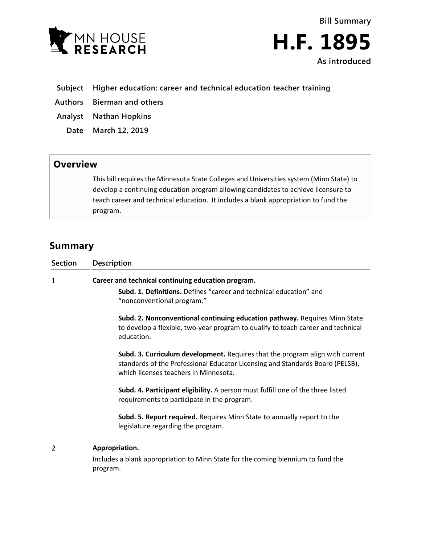

**Bill Summary H.F. 1895 As introduced**

- **Subject Higher education: career and technical education teacher training**
- **Authors Bierman and others**
- **Analyst Nathan Hopkins**
	- **Date March 12, 2019**

## **Overview**

This bill requires the Minnesota State Colleges and Universities system (Minn State) to develop a continuing education program allowing candidates to achieve licensure to teach career and technical education. It includes a blank appropriation to fund the program.

## **Summary**

| <b>Section</b> | <b>Description</b>                                                                                                                                                                                      |
|----------------|---------------------------------------------------------------------------------------------------------------------------------------------------------------------------------------------------------|
| 1              | Career and technical continuing education program.                                                                                                                                                      |
|                | <b>Subd. 1. Definitions.</b> Defines "career and technical education" and<br>"nonconventional program."                                                                                                 |
|                | Subd. 2. Nonconventional continuing education pathway. Requires Minn State<br>to develop a flexible, two-year program to qualify to teach career and technical<br>education.                            |
|                | Subd. 3. Curriculum development. Requires that the program align with current<br>standards of the Professional Educator Licensing and Standards Board (PELSB),<br>which licenses teachers in Minnesota. |
|                | Subd. 4. Participant eligibility. A person must fulfill one of the three listed<br>requirements to participate in the program.                                                                          |
|                | Subd. 5. Report required. Requires Minn State to annually report to the<br>legislature regarding the program.                                                                                           |
| 2              | Appropriation.                                                                                                                                                                                          |
|                | Includes a blank appropriation to Minn State for the coming biennium to fund the<br>program.                                                                                                            |